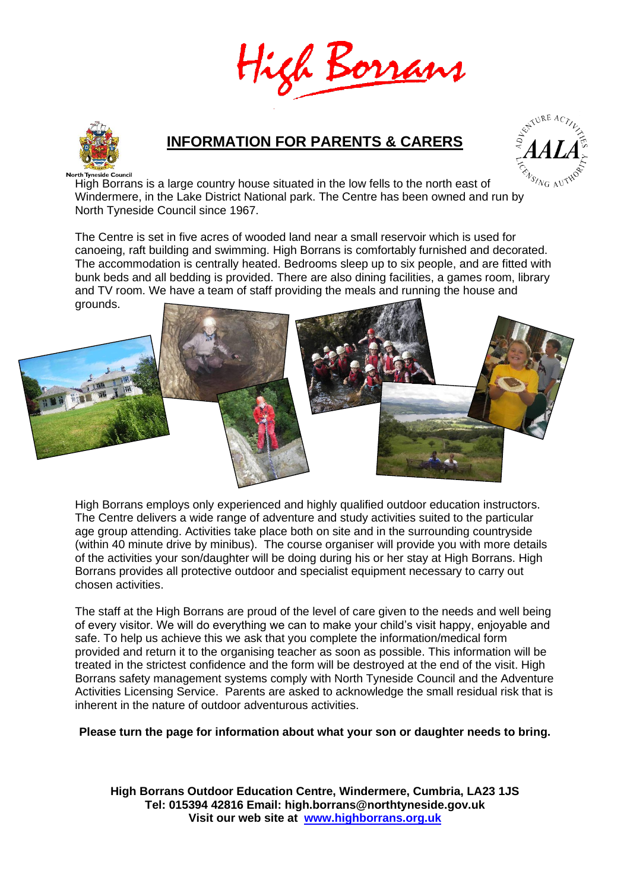



## **INFORMATION FOR PARENTS & CARERS**



High Borrans is a large country house situated in the low fells to the north east of Windermere, in the Lake District National park. The Centre has been owned and run by North Tyneside Council since 1967.

The Centre is set in five acres of wooded land near a small reservoir which is used for canoeing, raft building and swimming. High Borrans is comfortably furnished and decorated. The accommodation is centrally heated. Bedrooms sleep up to six people, and are fitted with bunk beds and all bedding is provided. There are also dining facilities, a games room, library and TV room. We have a team of staff providing the meals and running the house and grounds.



High Borrans employs only experienced and highly qualified outdoor education instructors. The Centre delivers a wide range of adventure and study activities suited to the particular age group attending. Activities take place both on site and in the surrounding countryside (within 40 minute drive by minibus). The course organiser will provide you with more details of the activities your son/daughter will be doing during his or her stay at High Borrans. High Borrans provides all protective outdoor and specialist equipment necessary to carry out chosen activities.

The staff at the High Borrans are proud of the level of care given to the needs and well being of every visitor. We will do everything we can to make your child's visit happy, enjoyable and safe. To help us achieve this we ask that you complete the information/medical form provided and return it to the organising teacher as soon as possible. This information will be treated in the strictest confidence and the form will be destroyed at the end of the visit. High Borrans safety management systems comply with North Tyneside Council and the Adventure Activities Licensing Service. Parents are asked to acknowledge the small residual risk that is inherent in the nature of outdoor adventurous activities.

**Please turn the page for information about what your son or daughter needs to bring.**

**High Borrans Outdoor Education Centre, Windermere, Cumbria, LA23 1JS Tel: 015394 42816 Email: high.borrans@northtyneside.gov.uk Visit our web site at [www.highborrans.org.uk](http://www.highborrans.org.uk/)**